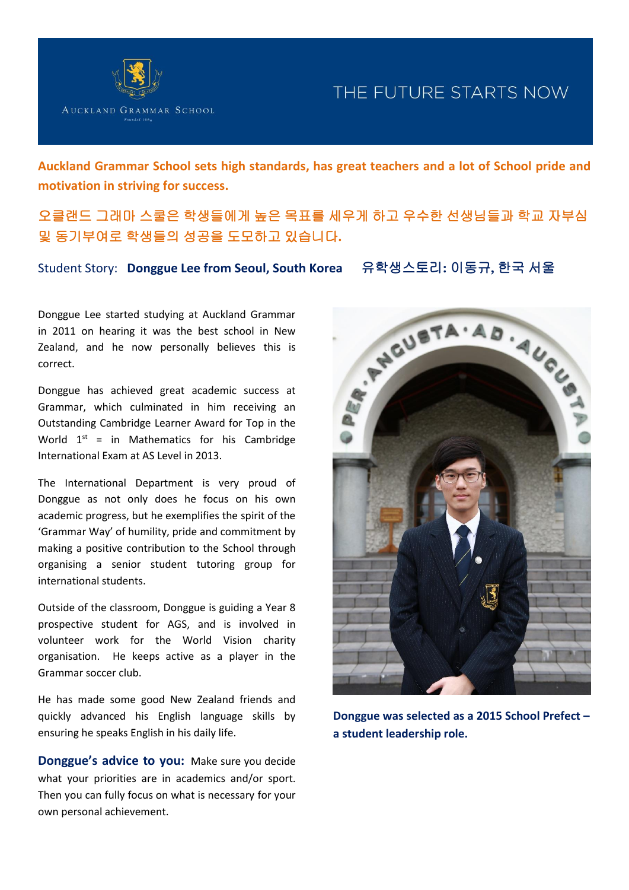

## THE FUTURE STARTS NOW

**Auckland Grammar School sets high standards, has great teachers and a lot of School pride and motivation in striving for success.** 

오클랜드 그래마 스쿨은 학생들에게 높은 목표를 세우게 하고 우수한 선생님들과 학교 자부심 및 동기부여로 학생들의 성공을 도모하고 있습니다**.**

Student Story: **Donggue Lee from Seoul, South Korea** 유학생스토리**:** 이동규**,** 한국 서울

Donggue Lee started studying at Auckland Grammar in 2011 on hearing it was the best school in New Zealand, and he now personally believes this is correct.

Donggue has achieved great academic success at Grammar, which culminated in him receiving an Outstanding Cambridge Learner Award for Top in the World  $1^{st}$  = in Mathematics for his Cambridge International Exam at AS Level in 2013.

The International Department is very proud of Donggue as not only does he focus on his own academic progress, but he exemplifies the spirit of the 'Grammar Way' of humility, pride and commitment by making a positive contribution to the School through organising a senior student tutoring group for international students.

Outside of the classroom, Donggue is guiding a Year 8 prospective student for AGS, and is involved in volunteer work for the World Vision charity organisation. He keeps active as a player in the Grammar soccer club.

He has made some good New Zealand friends and quickly advanced his English language skills by ensuring he speaks English in his daily life.

**Donggue's advice to you:** Make sure you decide what your priorities are in academics and/or sport. Then you can fully focus on what is necessary for your own personal achievement.



**Donggue was selected as a 2015 School Prefect – a student leadership role.**